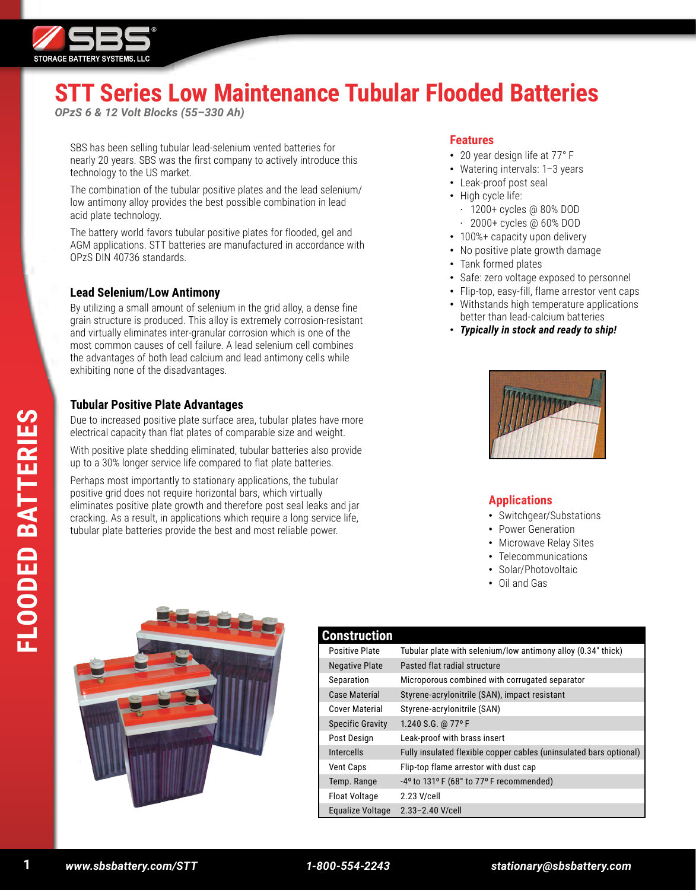

# **STT Series Low Maintenance Tubular Flooded Batteries**

*OPzS 6 & 12 Volt Blocks (55–330 Ah)*

SBS has been selling tubular lead-selenium vented batteries for nearly 20 years. SBS was the first company to actively introduce this technology to the US market.

The combination of the tubular positive plates and the lead selenium/ low antimony alloy provides the best possible combination in lead acid plate technology.

The battery world favors tubular positive plates for flooded, gel and AGM applications. STT batteries are manufactured in accordance with OPzS DIN 40736 standards.

# **Lead Selenium/Low Antimony**

By utilizing a small amount of selenium in the grid alloy, a dense fine grain structure is produced. This alloy is extremely corrosion-resistant and virtually eliminates inter-granular corrosion which is one of the most common causes of cell failure. A lead selenium cell combines the advantages of both lead calcium and lead antimony cells while exhibiting none of the disadvantages.

# **Tubular Positive Plate Advantages**

Due to increased positive plate surface area, tubular plates have more electrical capacity than flat plates of comparable size and weight.

With positive plate shedding eliminated, tubular batteries also provide up to a 30% longer service life compared to flat plate batteries.

Perhaps most importantly to stationary applications, the tubular positive grid does not require horizontal bars, which virtually eliminates positive plate growth and therefore post seal leaks and jar cracking. As a result, in applications which require a long service life, tubular plate batteries provide the best and most reliable power.

#### **Features**

- 20 year design life at 77° F
- Watering intervals: 1–3 years
- Leak-proof post seal
- High cycle life:
	- · 1200+ cycles @ 80% DOD · 2000+ cycles @ 60% DOD
- 100%+ capacity upon delivery
- No positive plate growth damage
- Tank formed plates
- Safe: zero voltage exposed to personnel
- Flip-top, easy-fill, flame arrestor vent caps
- Withstands high temperature applications better than lead-calcium batteries
- *Typically in stock and ready to ship!*



#### **Applications**

- Switchgear/Substations
- Power Generation
- Microwave Relay Sites
- Telecommunications
- Solar/Photovoltaic
- Oil and Gas



# **Construction**

| ,vnsu ucuvn             |                                                                    |
|-------------------------|--------------------------------------------------------------------|
| <b>Positive Plate</b>   | Tubular plate with selenium/low antimony alloy (0.34" thick)       |
| <b>Negative Plate</b>   | Pasted flat radial structure                                       |
| Separation              | Microporous combined with corrugated separator                     |
| Case Material           | Styrene-acrylonitrile (SAN), impact resistant                      |
| Cover Material          | Styrene-acrylonitrile (SAN)                                        |
| <b>Specific Gravity</b> | 1.240 S.G. @ 77°F                                                  |
| Post Design             | Leak-proof with brass insert                                       |
| <b>Intercells</b>       | Fully insulated flexible copper cables (uninsulated bars optional) |
| <b>Vent Caps</b>        | Flip-top flame arrestor with dust cap                              |
| Temp. Range             | $-4^{\circ}$ to 131° F (68° to 77° F recommended)                  |
| <b>Float Voltage</b>    | 2.23 V/cell                                                        |
| Equalize Voltage        | 2.33-2.40 V/cell                                                   |

**1**